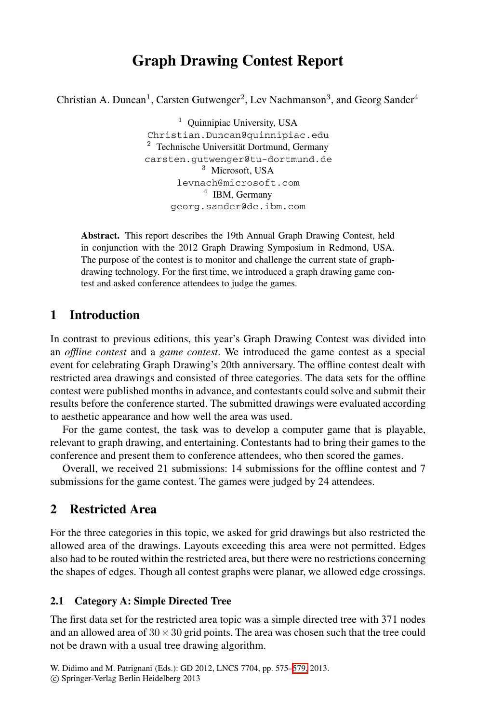# **Graph Drawing Contest Report**

Christian A. Duncan<sup>1</sup>, Carsten Gutwenger<sup>2</sup>, Lev Nachmanson<sup>3</sup>, and Georg Sander<sup>4</sup>

 $1$  Ouinnipiac University, USA Christian.Duncan@quinnipiac.edu <sup>2</sup> Technische Universität Dortmund, Germany carsten.gutwenger@tu-dortmund.de <sup>3</sup> Microsoft, USA levnach@microsoft.com <sup>4</sup> IBM, Germany georg.sander@de.ibm.com

**Abstract.** This report describes the 19th Annual Graph Drawing Contest, held in conjunction with the 2012 Graph Drawing Symposium in Redmond, USA. The purpose of the contest is to monitor and challenge the current state of graphdrawing technology. For the first time, we introduced a graph drawing game contest and asked conference attendees to judge the games.

## **1 Introduction**

In contrast to previous editions, this year's Graph Drawing Contest was divided into an *offline contest* and a *game contest*. We introduced the game contest as a special event for celebrating Graph Drawing's 20th anniversary. The offline contest dealt with restricted area drawings and consisted of three categories. The data sets for the offline contest were published months in advance, and contestants could solve and submit their results before the conference started. The submitted drawings were evaluated according to aesthetic appearance and how well the area was used.

For the game contest, the task was to develop a computer game that is playable, relevant to graph drawing, and entertaining. Contestants had to bring their games to the conference and present them to conference attendees, who then scored the games.

Overall, we received 21 submissions: 14 submissions for the offline contest and 7 submissions for the game contest. The games were judged by 24 attendees.

# **2 Restricted Area**

For the three categories in this topic, we asked for grid drawings but also restricted the allowed area of the drawings. Layouts exceeding this area were not permitted. Edges also had to be routed within the restricted area, but there were no restrictions concerning the shapes of edges. Though all cont[est](#page-4-0) [g](#page-4-0)raphs were planar, we allowed edge crossings.

#### **2.1 Category A: Simple Directed Tree**

The first data set for the restricted area topic was a simple directed tree with 371 nodes and an allowed area of  $30 \times 30$  grid points. The area was chosen such that the tree could not be drawn with a usual tree drawing algorithm.

W. Didimo and M. Patrignani (Eds.): GD 2012, LNCS 7704, pp. 575–579, 2013.

<sup>-</sup>c Springer-Verlag Berlin Heidelberg 2013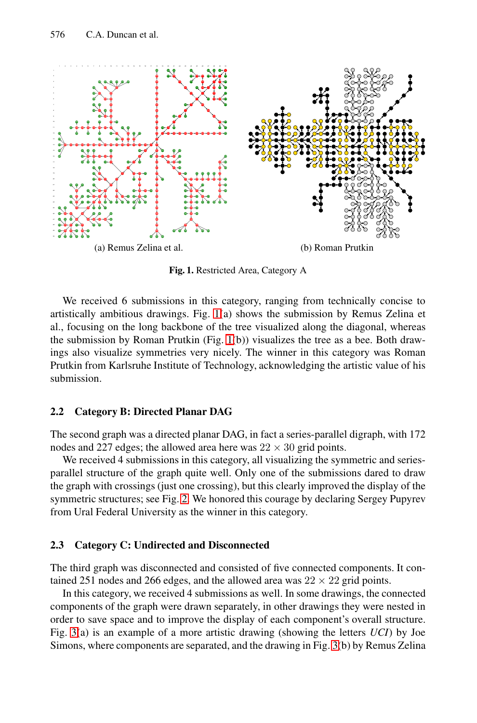<span id="page-1-0"></span>

**Fig. 1.** Restricted Area, Category A

We received 6 submissions in this category, ranging from technically concise to artistically ambitious drawings. Fig. 1(a) shows the submission by Remus Zelina et al., focusing on the long backbone of the tree visualized along the diagonal, whereas the submission by Roman Prutkin (Fig. 1(b)) visualizes the tree as a bee. Both drawings also visualize symmetries very nicely. The winner in this category was Roman Prutkin from Karlsruhe Institute of Technology, acknowledging the artistic value of his submission.

#### **2.2 Category B: Directed Planar DAG**

The second graph was a directed planar DAG, in fact a series-parallel digraph, with 172 nodes and 227 edges; the allowed area here was  $22 \times 30$  grid points.

We received 4 submissions in this category, all visualizing the symmetric and seriesparallel structure of the graph quite well. Only one of the submissions dared to draw the graph with crossings (just one crossing), but this clearly improved the display of the symmetric structures; see Fig. 2. We honored this courage by declaring Sergey Pupyrev from Ural Federal University as the winner in this category.

#### **2.3 Category C: Undirected and Disconn[ec](#page-3-0)ted**

The third graph was disconnected and consisted of five connected components. It contained 251 nodes and 266 edges, and the allowed area was  $22 \times 22$  grid points.

In this category, we received 4 submissions as well. In some drawings, the connected components of the graph were drawn separately, in other drawings they were nested in order to save space and to improve the display of each component's overall structure. Fig. 3(a) is an example of a more artistic drawing (showing the letters *UCI*) by Joe Simons, where components are separated, and the drawing in Fig. 3(b) by Remus Zelina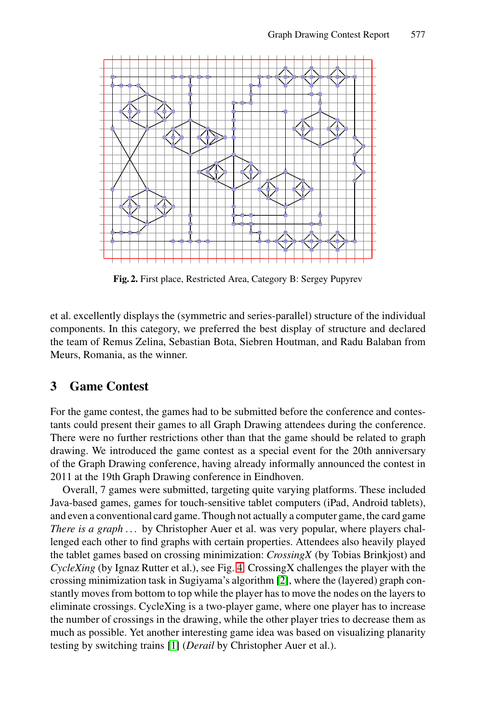

**Fig. 2.** First place, Restricted Area, Category B: Sergey Pupyrev

et al. excellently displays the (symmetric and series-parallel) structure of the individual components. In this category, we preferred the best display of structure and declared the team of Remus Zelina, Sebastian Bota, Siebren Houtman, and Radu Balaban from Meurs, Romania, as the winner.

## **3 Game Contest**

For the game contest, the games had to be submitted before the conference and contestants could present their games to all Graph Drawing attendees during the conference. There were no further restrictions other than that the game should be related to graph drawing. We introduced the game contest as a special event for the 20th anniversary of the Graph Drawing [con](#page-3-1)ference, having already informally announced the contest in 2011 at the 19th Graph Drawing [co](#page-4-1)nference in Eindhoven.

Overall, 7 games were submitted, targeting quite varying platforms. These included Java-based games, games for touch-sensitive tablet computers (iPad, Android tablets), and even a conventional card game. Though not actually a computer game, the card game *There is a graph* ... by Christopher Auer et al. was very popular, where players challenged [eac](#page-4-2)h other to find graphs with certain properties. Attendees also heavily played the tablet games based on crossing minimization: *CrossingX* (by Tobias Brinkjost) and *CycleXing* (by Ignaz Rutter et al.), see Fig. 4. CrossingX challenges the player with the crossing minimization task in Sugiyama's algorithm [2], where the (layered) graph constantly moves from bottom to top while the player has to move the nodes on the layers to eliminate crossings. CycleXing is a two-player game, where one player has to increase the number of crossings in the drawing, while the other player tries to decrease them as much as possible. Yet another interesting game idea was based on visualizing planarity testing by switching trains [1] (*Derail* by Christopher Auer et al.).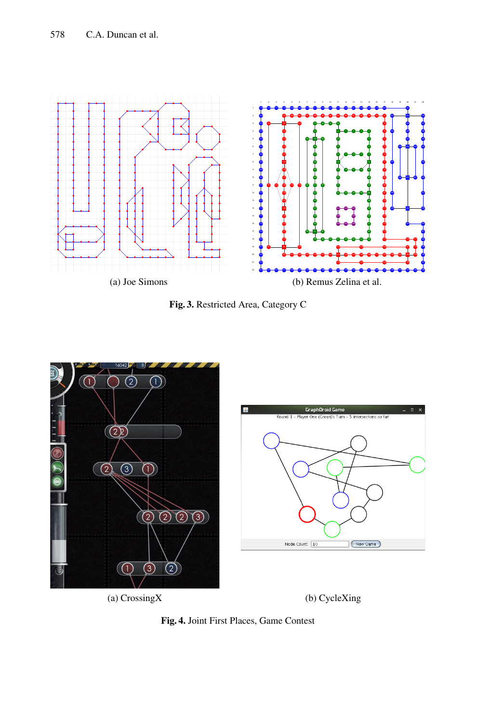<span id="page-3-0"></span>

<span id="page-3-1"></span>



**Fig. 4.** Joint First Places, Game Contest